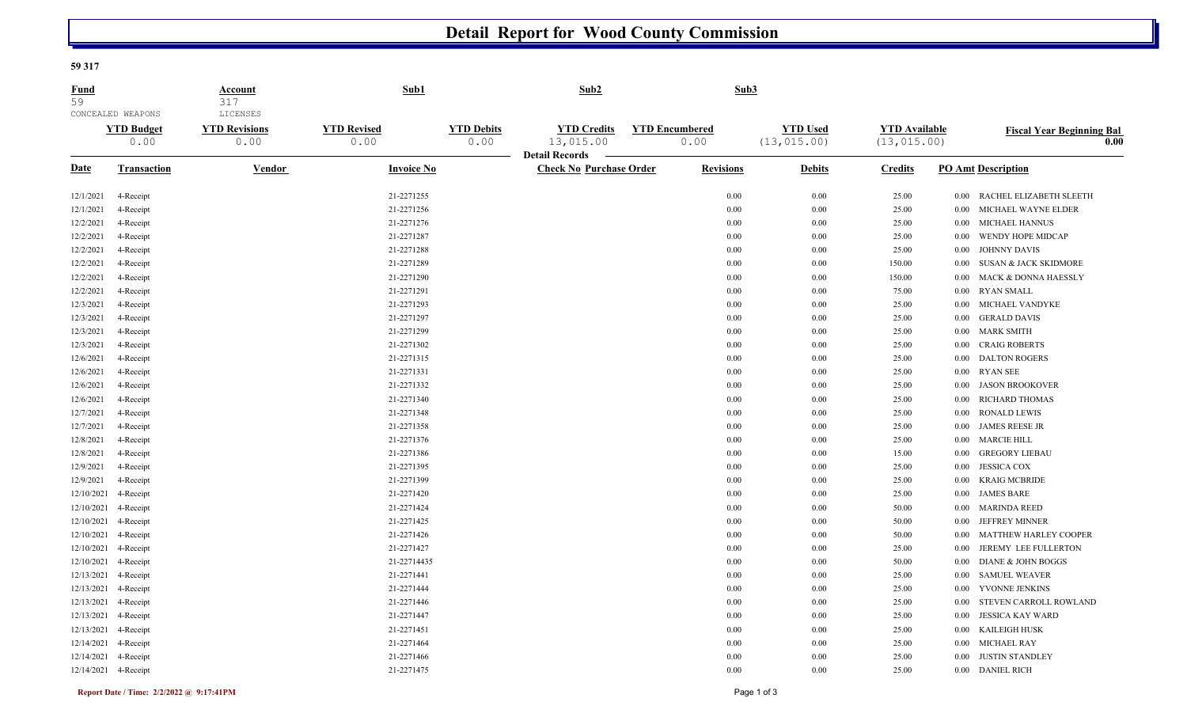## **Detail Report for Wood County Commission**

## **59 317**

| Fund<br>59  |                                                | <b>Account</b><br>317                    | Sub1                       |                           | Sub2                                                    |  |                               | Sub3                            |                                      |          |                                                       |
|-------------|------------------------------------------------|------------------------------------------|----------------------------|---------------------------|---------------------------------------------------------|--|-------------------------------|---------------------------------|--------------------------------------|----------|-------------------------------------------------------|
|             | CONCEALED WEAPONS<br><b>YTD Budget</b><br>0.00 | LICENSES<br><b>YTD Revisions</b><br>0.00 | <b>YTD Revised</b><br>0.00 | <b>YTD Debits</b><br>0.00 | <b>YTD Credits</b><br>13,015.00                         |  | <b>YTD Encumbered</b><br>0.00 | <b>YTD Used</b><br>(13, 015.00) | <b>YTD</b> Available<br>(13, 015.00) |          | <b>Fiscal Year Beginning Bal</b><br>$\overline{0.00}$ |
| <b>Date</b> | <b>Transaction</b>                             | Vendor                                   | <b>Invoice No</b>          |                           | <b>Detail Records</b><br><b>Check No Purchase Order</b> |  | <b>Revisions</b>              | <b>Debits</b>                   | <b>Credits</b>                       |          | <b>PO Amt Description</b>                             |
| 12/1/2021   | 4-Receipt                                      |                                          | 21-2271255                 |                           |                                                         |  | 0.00                          | 0.00                            | 25.00                                | 0.00     | RACHEL ELIZABETH SLEETH                               |
| 12/1/2021   | 4-Receipt                                      |                                          | 21-2271256                 |                           |                                                         |  | 0.00                          | 0.00                            | 25.00                                | $0.00\,$ | MICHAEL WAYNE ELDER                                   |
| 12/2/2021   | 4-Receipt                                      |                                          | 21-2271276                 |                           |                                                         |  | 0.00                          | 0.00                            | 25.00                                | 0.00     | MICHAEL HANNUS                                        |
| 12/2/2021   | 4-Receipt                                      |                                          | 21-2271287                 |                           |                                                         |  | 0.00                          | 0.00                            | 25.00                                | 0.00     | WENDY HOPE MIDCAP                                     |
| 12/2/2021   | 4-Receipt                                      |                                          | 21-2271288                 |                           |                                                         |  | 0.00                          | 0.00                            | 25.00                                | $0.00\,$ | <b>JOHNNY DAVIS</b>                                   |
| 12/2/2021   | 4-Receipt                                      |                                          | 21-2271289                 |                           |                                                         |  | 0.00                          | 0.00                            | 150.00                               | 0.00     | <b>SUSAN &amp; JACK SKIDMORE</b>                      |
| 12/2/2021   | 4-Receipt                                      |                                          | 21-2271290                 |                           |                                                         |  | 0.00                          | 0.00                            | 150.00                               | 0.00     | MACK & DONNA HAESSLY                                  |
| 12/2/2021   | 4-Receipt                                      |                                          | 21-2271291                 |                           |                                                         |  | 0.00                          | 0.00                            | 75.00                                | $0.00\,$ | <b>RYAN SMALL</b>                                     |
| 12/3/2021   | 4-Receipt                                      |                                          | 21-2271293                 |                           |                                                         |  | 0.00                          | 0.00                            | 25.00                                | 0.00     | MICHAEL VANDYKE                                       |
| 12/3/2021   | 4-Receipt                                      |                                          | 21-2271297                 |                           |                                                         |  | 0.00                          | 0.00                            | 25.00                                | 0.00     | <b>GERALD DAVIS</b>                                   |
| 12/3/2021   | 4-Receipt                                      |                                          | 21-2271299                 |                           |                                                         |  | 0.00                          | 0.00                            | 25.00                                | $0.00\,$ | <b>MARK SMITH</b>                                     |
| 12/3/2021   | 4-Receipt                                      |                                          | 21-2271302                 |                           |                                                         |  | 0.00                          | 0.00                            | 25.00                                | $0.00\,$ | <b>CRAIG ROBERTS</b>                                  |
| 12/6/2021   | 4-Receipt                                      |                                          | 21-2271315                 |                           |                                                         |  | 0.00                          | 0.00                            | 25.00                                | 0.00     | <b>DALTON ROGERS</b>                                  |
| 12/6/2021   | 4-Receipt                                      |                                          | 21-2271331                 |                           |                                                         |  | 0.00                          | 0.00                            | 25.00                                | 0.00     | <b>RYAN SEE</b>                                       |
| 12/6/2021   | 4-Receipt                                      |                                          | 21-2271332                 |                           |                                                         |  | 0.00                          | 0.00                            | 25.00                                | $0.00\,$ | <b>JASON BROOKOVER</b>                                |
| 12/6/2021   | 4-Receipt                                      |                                          | 21-2271340                 |                           |                                                         |  | 0.00                          | 0.00                            | 25.00                                | 0.00     | RICHARD THOMAS                                        |
| 12/7/2021   | 4-Receipt                                      |                                          | 21-2271348                 |                           |                                                         |  | 0.00                          | 0.00                            | 25.00                                | 0.00     | <b>RONALD LEWIS</b>                                   |
| 12/7/2021   | 4-Receipt                                      |                                          | 21-2271358                 |                           |                                                         |  | 0.00                          | 0.00                            | 25.00                                | 0.00     | <b>JAMES REESE JR</b>                                 |
| 12/8/2021   | 4-Receipt                                      |                                          | 21-2271376                 |                           |                                                         |  | 0.00                          | 0.00                            | 25.00                                | $0.00\,$ | <b>MARCIE HILL</b>                                    |
| 12/8/2021   | 4-Receipt                                      |                                          | 21-2271386                 |                           |                                                         |  | 0.00                          | 0.00                            | 15.00                                | 0.00     | <b>GREGORY LIEBAU</b>                                 |
| 12/9/2021   | 4-Receipt                                      |                                          | 21-2271395                 |                           |                                                         |  | 0.00                          | 0.00                            | 25.00                                | 0.00     | <b>JESSICA COX</b>                                    |
| 12/9/2021   | 4-Receipt                                      |                                          | 21-2271399                 |                           |                                                         |  | 0.00                          | 0.00                            | 25.00                                | 0.00     | <b>KRAIG MCBRIDE</b>                                  |
| 12/10/2021  | 4-Receipt                                      |                                          | 21-2271420                 |                           |                                                         |  | 0.00                          | 0.00                            | 25.00                                | 0.00     | <b>JAMES BARE</b>                                     |
| 12/10/2021  | 4-Receipt                                      |                                          | 21-2271424                 |                           |                                                         |  | 0.00                          | 0.00                            | 50.00                                | 0.00     | <b>MARINDA REED</b>                                   |
| 12/10/2021  | 4-Receipt                                      |                                          | 21-2271425                 |                           |                                                         |  | 0.00                          | 0.00                            | 50.00                                | 0.00     | <b>JEFFREY MINNER</b>                                 |
| 12/10/2021  | 4-Receipt                                      |                                          | 21-2271426                 |                           |                                                         |  | 0.00                          | 0.00                            | 50.00                                | $0.00\,$ | <b>MATTHEW HARLEY COOPER</b>                          |
| 12/10/2021  | 4-Receipt                                      |                                          | 21-2271427                 |                           |                                                         |  | 0.00                          | 0.00                            | 25.00                                | 0.00     | JEREMY LEE FULLERTON                                  |
| 12/10/2021  | 4-Receipt                                      |                                          | 21-22714435                |                           |                                                         |  | 0.00                          | 0.00                            | 50.00                                | 0.00     | DIANE & JOHN BOGGS                                    |
| 12/13/2021  | 4-Receipt                                      |                                          | 21-2271441                 |                           |                                                         |  | 0.00                          | 0.00                            | 25.00                                | $0.00\,$ | <b>SAMUEL WEAVER</b>                                  |
| 12/13/2021  | 4-Receipt                                      |                                          | 21-2271444                 |                           |                                                         |  | 0.00                          | 0.00                            | 25.00                                | $0.00\,$ | YVONNE JENKINS                                        |
| 12/13/2021  | 4-Receipt                                      |                                          | 21-2271446                 |                           |                                                         |  | 0.00                          | 0.00                            | 25.00                                | 0.00     | STEVEN CARROLL ROWLAND                                |
|             | 12/13/2021 4-Receipt                           |                                          | 21-2271447                 |                           |                                                         |  | 0.00                          | 0.00                            | 25.00                                | 0.00     | <b>JESSICA KAY WARD</b>                               |
| 12/13/2021  | 4-Receipt                                      |                                          | 21-2271451                 |                           |                                                         |  | 0.00                          | 0.00                            | 25.00                                | $0.00\,$ | <b>KAILEIGH HUSK</b>                                  |
| 12/14/2021  | 4-Receipt                                      |                                          | 21-2271464                 |                           |                                                         |  | 0.00                          | 0.00                            | 25.00                                | 0.00     | <b>MICHAEL RAY</b>                                    |
|             | 12/14/2021 4-Receipt                           |                                          | 21-2271466                 |                           |                                                         |  | 0.00                          | 0.00                            | 25.00                                | 0.00     | <b>JUSTIN STANDLEY</b>                                |
|             | 12/14/2021 4-Receipt                           |                                          | 21-2271475                 |                           |                                                         |  | 0.00                          | 0.00                            | 25.00                                |          | 0.00 DANIEL RICH                                      |
|             |                                                |                                          |                            |                           |                                                         |  |                               |                                 |                                      |          |                                                       |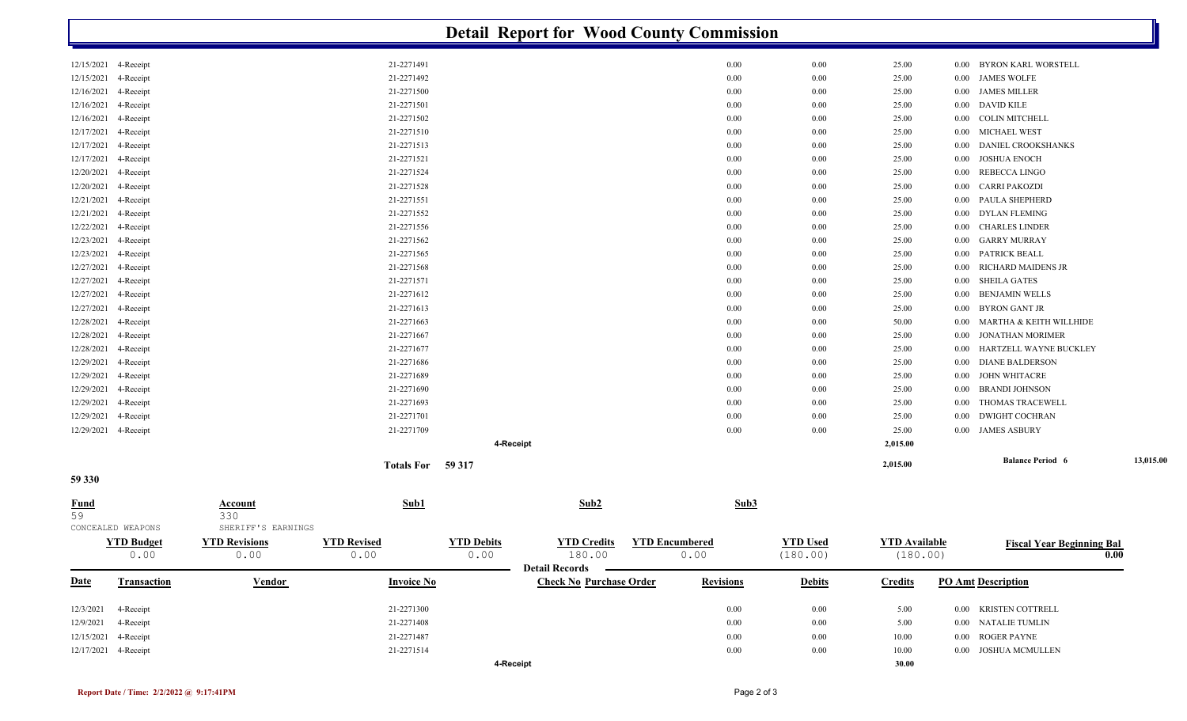|                      | <b>Detail Report for Wood County Commission</b> |                                      |                    |                   |                                                    |  |                  |                 |                      |          |                                  |           |
|----------------------|-------------------------------------------------|--------------------------------------|--------------------|-------------------|----------------------------------------------------|--|------------------|-----------------|----------------------|----------|----------------------------------|-----------|
| 12/15/2021 4-Receipt |                                                 |                                      | 21-2271491         |                   |                                                    |  | 0.00             | 0.00            | 25.00                | $0.00\,$ | BYRON KARL WORSTELL              |           |
| 12/15/2021           | 4-Receipt                                       |                                      | 21-2271492         |                   |                                                    |  | 0.00             | 0.00            | 25.00                | $0.00\,$ | <b>JAMES WOLFE</b>               |           |
| 12/16/2021           | 4-Receipt                                       |                                      | 21-2271500         |                   |                                                    |  | 0.00             | 0.00            | 25.00                | $0.00\,$ | <b>JAMES MILLER</b>              |           |
| 12/16/2021           | 4-Receipt                                       |                                      | 21-2271501         |                   |                                                    |  | 0.00             | 0.00            | 25.00                | $0.00\,$ | DAVID KILE                       |           |
| 12/16/2021           | 4-Receipt                                       |                                      | 21-2271502         |                   |                                                    |  | 0.00             | 0.00            | 25.00                | $0.00\,$ | COLIN MITCHELL                   |           |
| 12/17/2021           | 4-Receipt                                       |                                      | 21-2271510         |                   |                                                    |  | 0.00             | 0.00            | 25.00                | $0.00\,$ | <b>MICHAEL WEST</b>              |           |
| 12/17/2021           | 4-Receipt                                       |                                      | 21-2271513         |                   |                                                    |  | 0.00             | 0.00            | 25.00                | 0.00     | DANIEL CROOKSHANKS               |           |
| 12/17/2021           | 4-Receipt                                       |                                      | 21-2271521         |                   |                                                    |  | 0.00             | 0.00            | 25.00                | $0.00\,$ | JOSHUA ENOCH                     |           |
| 12/20/2021           | 4-Receipt                                       |                                      | 21-2271524         |                   |                                                    |  | 0.00             | 0.00            | 25.00                | 0.00     | REBECCA LINGO                    |           |
| 12/20/2021           | 4-Receipt                                       |                                      | 21-2271528         |                   |                                                    |  | 0.00             | 0.00            | 25.00                | 0.00     | <b>CARRI PAKOZDI</b>             |           |
| 12/21/2021           | 4-Receipt                                       |                                      | 21-2271551         |                   |                                                    |  | 0.00             | 0.00            | 25.00                | 0.00     | PAULA SHEPHERD                   |           |
| 12/21/2021           | 4-Receipt                                       |                                      | 21-2271552         |                   |                                                    |  | 0.00             | 0.00            | 25.00                | 0.00     | <b>DYLAN FLEMING</b>             |           |
| 12/22/2021           | 4-Receipt                                       |                                      | 21-2271556         |                   |                                                    |  | 0.00             | 0.00            | 25.00                | $0.00\,$ | <b>CHARLES LINDER</b>            |           |
| 12/23/2021           | 4-Receipt                                       |                                      | 21-2271562         |                   |                                                    |  | 0.00             | 0.00            | 25.00                | $0.00\,$ | GARRY MURRAY                     |           |
| 12/23/2021           | 4-Receipt                                       |                                      | 21-2271565         |                   |                                                    |  | 0.00             | 0.00            | 25.00                | 0.00     | PATRICK BEALL                    |           |
| 12/27/2021           | 4-Receipt                                       |                                      | 21-2271568         |                   |                                                    |  | 0.00             | 0.00            | 25.00                | 0.00     | <b>RICHARD MAIDENS JR</b>        |           |
| 12/27/2021           | 4-Receipt                                       |                                      | 21-2271571         |                   |                                                    |  | 0.00             | 0.00            | 25.00                | 0.00     | <b>SHEILA GATES</b>              |           |
| 12/27/2021           | 4-Receipt                                       |                                      | 21-2271612         |                   |                                                    |  | 0.00             | 0.00            | 25.00                | 0.00     | <b>BENJAMIN WELLS</b>            |           |
| 12/27/2021           | 4-Receipt                                       |                                      | 21-2271613         |                   |                                                    |  | 0.00             | 0.00            | 25.00                | 0.00     | BYRON GANT JR                    |           |
| 12/28/2021           | 4-Receipt                                       |                                      | 21-2271663         |                   |                                                    |  | 0.00             | 0.00            | 50.00                | $0.00\,$ | MARTHA & KEITH WILLHIDE          |           |
| 12/28/2021           | 4-Receipt                                       |                                      | 21-2271667         |                   |                                                    |  | 0.00             | 0.00            | 25.00                | 0.00     | JONATHAN MORIMER                 |           |
| 12/28/2021           | 4-Receipt                                       |                                      | 21-2271677         |                   |                                                    |  | 0.00             | 0.00            | 25.00                | 0.00     | HARTZELL WAYNE BUCKLEY           |           |
| 12/29/2021           | 4-Receipt                                       |                                      | 21-2271686         |                   |                                                    |  | 0.00             | 0.00            | 25.00                | 0.00     | <b>DIANE BALDERSON</b>           |           |
| 12/29/2021           | 4-Receipt                                       |                                      | 21-2271689         |                   |                                                    |  | 0.00             | 0.00            | 25.00                | 0.00     | <b>JOHN WHITACRE</b>             |           |
| 12/29/2021           | 4-Receipt                                       |                                      | 21-2271690         |                   |                                                    |  | 0.00             | 0.00            | 25.00                | 0.00     | <b>BRANDI JOHNSON</b>            |           |
| 12/29/2021           | 4-Receipt                                       |                                      | 21-2271693         |                   |                                                    |  | 0.00             | 0.00            | 25.00                | 0.00     | THOMAS TRACEWELL                 |           |
| 12/29/2021           | 4-Receipt                                       |                                      | 21-2271701         |                   |                                                    |  | 0.00             | 0.00            | 25.00                | 0.00     | <b>DWIGHT COCHRAN</b>            |           |
| 12/29/2021 4-Receipt |                                                 |                                      | 21-2271709         |                   |                                                    |  | 0.00             | 0.00            | 25.00                |          | 0.00 JAMES ASBURY                |           |
|                      |                                                 |                                      |                    | 4-Receipt         |                                                    |  |                  |                 | 2,015.00             |          |                                  |           |
|                      |                                                 |                                      | Totals For 59 317  |                   |                                                    |  |                  |                 | 2,015.00             |          | <b>Balance Period 6</b>          | 13,015.00 |
| 59 330               |                                                 |                                      |                    |                   |                                                    |  |                  |                 |                      |          |                                  |           |
| <b>Fund</b><br>59    | CONCEALED WEAPONS                               | Account<br>330<br>SHERIFF'S EARNINGS | Sub1               |                   | Sub2                                               |  | Sub3             |                 |                      |          |                                  |           |
|                      | <b>YTD Budget</b>                               | <b>YTD Revisions</b>                 | <b>YTD Revised</b> | <b>YTD Debits</b> | <b>YTD Credits YTD Encumbered</b>                  |  |                  | <b>YTD Used</b> | <b>YTD Available</b> |          | <b>Fiscal Year Beginning Bal</b> |           |
|                      | 0.00                                            | 0.00                                 | 0.00               | 0.00              | 180.00                                             |  | 0.00             | (180.00)        | (180.00)             |          |                                  | 0.00      |
| <b>Date</b>          | <b>Transaction</b>                              | <b>Vendor</b>                        | <b>Invoice No</b>  |                   | Detail Records –<br><b>Check No Purchase Order</b> |  | <b>Revisions</b> | <b>Debits</b>   | <b>Credits</b>       |          | <b>PO Amt Description</b>        |           |
| 12/3/2021            | 4-Receipt                                       |                                      | 21-2271300         |                   |                                                    |  | $0.00\,$         | 0.00            | 5.00                 |          | 0.00 KRISTEN COTTRELL            |           |
| 12/9/2021            | 4-Receipt                                       |                                      | 21-2271408         |                   |                                                    |  | 0.00             | 0.00            | 5.00                 |          | 0.00 NATALIE TUMLIN              |           |
| 12/15/2021 4-Receipt |                                                 |                                      | 21-2271487         |                   |                                                    |  | 0.00             | 0.00            | 10.00                |          | 0.00 ROGER PAYNE                 |           |
| 12/17/2021 4-Receipt |                                                 |                                      | 21-2271514         |                   |                                                    |  | 0.00             | $0.00\,$        | 10.00                |          | 0.00 JOSHUA MCMULLEN             |           |
|                      |                                                 |                                      |                    | 4-Receipt         |                                                    |  |                  |                 | 30.00                |          |                                  |           |